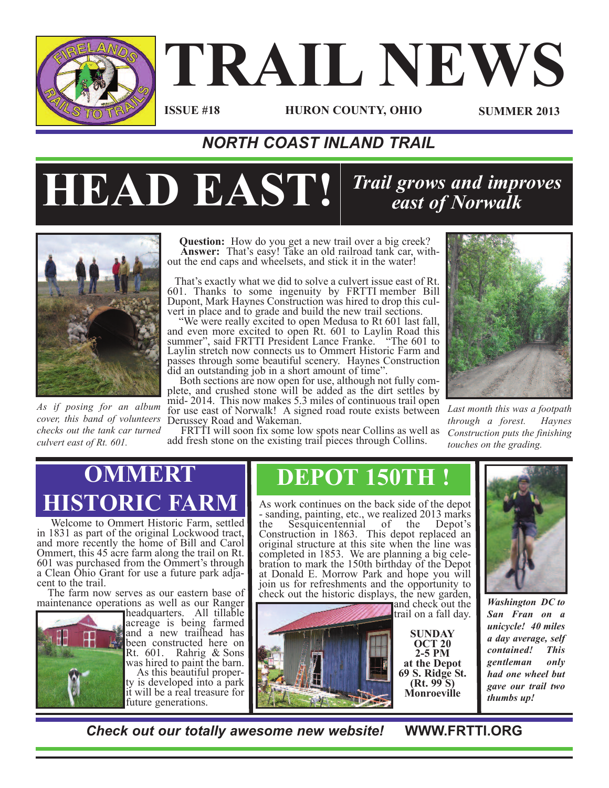

# **TRAIL NEWS**

### **ISSUE #18**

**HURON COUNTY, OHIO SUMMER 2013**

### *NORTH COAST INLAND TRAIL*

## **HEAD EAST!**

### *Trail grows and improves east of Norwalk*



*As if posing for an album cover, this band of volunteers checks out the tank car turned culvert east of Rt. 601.*

**Question:** How do you get a new trail over a big creek? **Answer:** That's easy! Take an old railroad tank car, with-<br>out the end caps and wheelsets, and stick it in the water!

That's exactly what we did to solve <sup>a</sup> culvert issue east of Rt. 601. Thanks to some ingenuity by FRTTI member Bill Dupont, Mark Haynes Construction was hired to drop this culvert in place and to grade and build the new trail sections.<br>"We were really excited to open Medusa to Rt 601 last fall,

summer", said FRTTI President Lance Franke. "The 601 to Laylin stretch now connects us to Ommert Historic Farm and passes through some beautiful scenery. Haynes Construction

did an outstanding job in <sup>a</sup> short amount of time". Both sections are now open for use, although not fully com- plete, and crushed stone will be added as the dirt settles by plete, and crushed stone will be added as the dirt settles by mid- 2014. This now makes 5.3 miles of continuous trail open for use east of Norwalk! A signed road route exists between Derussey Road and Wakeman. FRTTI will soon fix some low spots near Collins as well as

add fresh stone on the existing trail pieces through Collins.



*Last month this was a footpath through a forest. Haynes Construction puts the finishing touches on the grading.*

### **OMMERT HISTORIC FARM**

Welcome to Ommert Historic Farm, settled<br>in 1831 as part of the original Lockwood tract, and more recently the home of Bill and Carol Ommert, this 45 acre farm along the trail on Rt. 601 was purchased from the Ommert's through <sup>a</sup> Clean Ohio Grant for use <sup>a</sup> future park adja- cent to the trail. The farm now serves as our eastern base of

maintenance operations as well as our Ranger



headquarters. All tillable acreage is being farmed and a new trailhead has been constructed here on Rt. 601. Rahrig & Sons was hired to paint the barn.

As this beautiful proper-<br>ty is developed into a park. it will be a real treasure for future generations.

### **DEPOT 150TH !**

As work continues on the back side of the depot - sanding, painting, etc., we realized <sup>2013</sup> marks the Sesquicentennial of the Depot's Construction in 1863. This depot replaced an original structure at this site when the line was completed in 1853. We are planning <sup>a</sup> big cele- bration to mark the 150th birthday of the Depot at Donald E. Morrow Park and hope you will join us for refreshments and the opportunity to check out the historic displays, the new garden,<br>and check out the

trail on a fall day.

**SUNDAY OCT 20 2-5 PM at the Depot <sup>69</sup> S. Ridge St. (Rt. <sup>99</sup> S) Monroeville**



*Washington DC to San Fran on a unicycle! 40 miles a day average, self contained! This gentleman only had one wheel but gave our trail two thumbs up!*

*Check out our totally awesome new website!* **WWW.FRTTI.ORG**